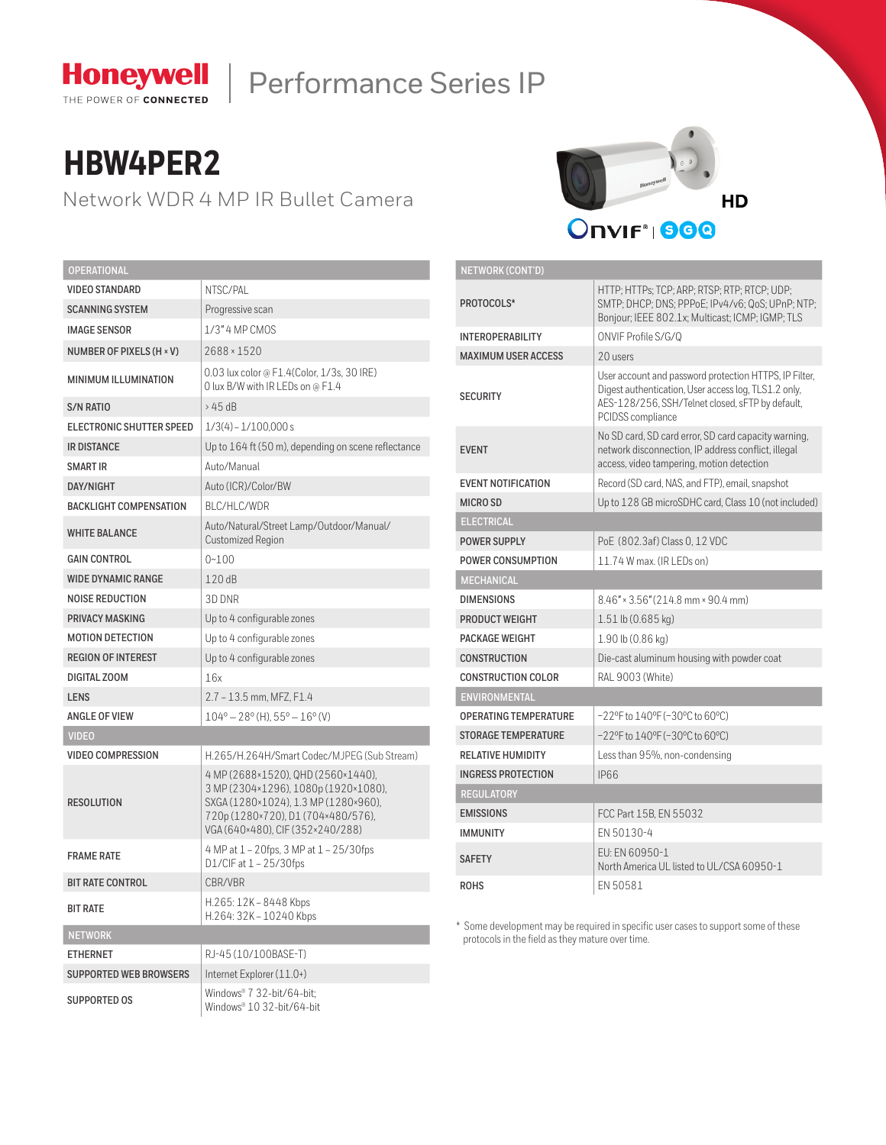

# Honeywell | Performance Series IP

**NETWORK (CONT'D)**

## **HBW4PER2**

Network WDR 4 MP IR Bullet Camera



| <b>OPERATIONAL</b>            |                                                                                                                                                                                              |  |  |  |
|-------------------------------|----------------------------------------------------------------------------------------------------------------------------------------------------------------------------------------------|--|--|--|
| <b>VIDEO STANDARD</b>         | NTSC/PAL                                                                                                                                                                                     |  |  |  |
| <b>SCANNING SYSTEM</b>        | Progressive scan                                                                                                                                                                             |  |  |  |
| <b>IMAGE SENSOR</b>           | 1/3" 4 MP CMOS                                                                                                                                                                               |  |  |  |
| NUMBER OF PIXELS (H × V)      | 2688 × 1520                                                                                                                                                                                  |  |  |  |
| <b>MINIMUM ILLUMINATION</b>   | 0.03 lux color @ F1.4(Color, 1/3s, 30 IRE)<br>O lux B/W with IR LEDs on @ F1.4                                                                                                               |  |  |  |
| <b>S/N RATIO</b>              | >45dB                                                                                                                                                                                        |  |  |  |
| ELECTRONIC SHUTTER SPEED      | $1/3(4) - 1/100,000s$                                                                                                                                                                        |  |  |  |
| <b>IR DISTANCE</b>            | Up to 164 ft (50 m), depending on scene reflectance                                                                                                                                          |  |  |  |
| <b>SMART IR</b>               | Auto/Manual                                                                                                                                                                                  |  |  |  |
| <b>DAY/NIGHT</b>              | Auto (ICR)/Color/BW                                                                                                                                                                          |  |  |  |
| <b>BACKLIGHT COMPENSATION</b> | BLC/HLC/WDR                                                                                                                                                                                  |  |  |  |
| <b>WHITE BALANCE</b>          | Auto/Natural/Street Lamp/Outdoor/Manual/<br><b>Customized Region</b>                                                                                                                         |  |  |  |
| <b>GAIN CONTROL</b>           | $0 - 100$                                                                                                                                                                                    |  |  |  |
| <b>WIDE DYNAMIC RANGE</b>     | 120 dB                                                                                                                                                                                       |  |  |  |
| <b>NOISE REDUCTION</b>        | 3D DNR                                                                                                                                                                                       |  |  |  |
| <b>PRIVACY MASKING</b>        | Up to 4 configurable zones                                                                                                                                                                   |  |  |  |
| <b>MOTION DETECTION</b>       | Up to 4 configurable zones                                                                                                                                                                   |  |  |  |
| <b>REGION OF INTEREST</b>     | Up to 4 configurable zones                                                                                                                                                                   |  |  |  |
| DIGITAL ZOOM                  | 16x                                                                                                                                                                                          |  |  |  |
| <b>LENS</b>                   | 2.7 - 13.5 mm, MFZ, F1.4                                                                                                                                                                     |  |  |  |
| <b>ANGLE OF VIEW</b>          | $104^{\circ} - 28^{\circ}$ (H), $55^{\circ} - 16^{\circ}$ (V)                                                                                                                                |  |  |  |
| <b>VIDEO</b>                  |                                                                                                                                                                                              |  |  |  |
| <b>VIDEO COMPRESSION</b>      | H.265/H.264H/Smart Codec/MJPEG (Sub Stream)                                                                                                                                                  |  |  |  |
| <b>RESOLUTION</b>             | 4 MP (2688×1520), QHD (2560×1440),<br>3 MP (2304×1296), 1080p (1920×1080),<br>SXGA (1280×1024), 1.3 MP (1280×960),<br>720p (1280×720), D1 (704×480/576),<br>VGA (640×480), CIF (352×240/288) |  |  |  |
| <b>FRAME RATE</b>             | 4 MP at 1 - 20fps, 3 MP at 1 - 25/30fps<br>D1/CIF at $1 - 25/30$ fps                                                                                                                         |  |  |  |
| <b>BIT RATE CONTROL</b>       | CBR/VBR                                                                                                                                                                                      |  |  |  |
| <b>BIT RATE</b>               | H.265: 12K - 8448 Kbps<br>H.264: 32K - 10240 Kbps                                                                                                                                            |  |  |  |
| <b>NETWORK</b>                |                                                                                                                                                                                              |  |  |  |
| <b>ETHERNET</b>               | RJ-45 (10/100BASE-T)                                                                                                                                                                         |  |  |  |
| <b>SUPPORTED WEB BROWSERS</b> | Internet Explorer (11.0+)                                                                                                                                                                    |  |  |  |
| <b>SUPPORTED OS</b>           | Windows® 7 32-bit/64-bit;<br>Windows® 10 32-bit/64-bit                                                                                                                                       |  |  |  |

| <b>NETWORK (CONTD)</b>       |                                                                                                                                                                                         |  |  |  |
|------------------------------|-----------------------------------------------------------------------------------------------------------------------------------------------------------------------------------------|--|--|--|
| PROTOCOLS*                   | HTTP; HTTPs; TCP; ARP; RTSP; RTP; RTCP; UDP;<br>SMTP; DHCP; DNS; PPPoE; IPv4/v6; QoS; UPnP; NTP;<br>Bonjour; IEEE 802.1x; Multicast; ICMP; IGMP; TLS                                    |  |  |  |
| <b>INTEROPERABILITY</b>      | ONVIF Profile S/G/Q                                                                                                                                                                     |  |  |  |
| <b>MAXIMUM USER ACCESS</b>   | 20 users                                                                                                                                                                                |  |  |  |
| <b>SECURITY</b>              | User account and password protection HTTPS, IP Filter,<br>Digest authentication, User access log, TLS1.2 only,<br>AES-128/256, SSH/Telnet closed, sFTP by default,<br>PCIDSS compliance |  |  |  |
| <b>EVENT</b>                 | No SD card, SD card error, SD card capacity warning,<br>network disconnection, IP address conflict, illegal<br>access, video tampering, motion detection                                |  |  |  |
| <b>EVENT NOTIFICATION</b>    | Record (SD card, NAS, and FTP), email, snapshot                                                                                                                                         |  |  |  |
| <b>MICRO SD</b>              | Up to 128 GB microSDHC card, Class 10 (not included)                                                                                                                                    |  |  |  |
| <b>ELECTRICAL</b>            |                                                                                                                                                                                         |  |  |  |
| <b>POWER SUPPLY</b>          | PoE (802.3af) Class 0, 12 VDC                                                                                                                                                           |  |  |  |
| POWER CONSUMPTION            | 11.74 W max. (IR LEDs on)                                                                                                                                                               |  |  |  |
| <b>MECHANICAL</b>            |                                                                                                                                                                                         |  |  |  |
| <b>DIMENSIONS</b>            | $8.46'' \times 3.56'' (214.8 \text{ mm} \times 90.4 \text{ mm})$                                                                                                                        |  |  |  |
| <b>PRODUCT WEIGHT</b>        | 1.51 lb (0.685 kg)                                                                                                                                                                      |  |  |  |
| PACKAGE WEIGHT               | 1.90 lb (0.86 kg)                                                                                                                                                                       |  |  |  |
| <b>CONSTRUCTION</b>          | Die-cast aluminum housing with powder coat                                                                                                                                              |  |  |  |
| <b>CONSTRUCTION COLOR</b>    | RAL 9003 (White)                                                                                                                                                                        |  |  |  |
| <b>ENVIRONMENTAL</b>         |                                                                                                                                                                                         |  |  |  |
| <b>OPERATING TEMPERATURE</b> | $-22$ °F to 140°F (-30°C to 60°C)                                                                                                                                                       |  |  |  |
| <b>STORAGE TEMPERATURE</b>   | -22°F to 140°F (-30°C to 60°C)                                                                                                                                                          |  |  |  |
| <b>RELATIVE HUMIDITY</b>     | Less than 95%, non-condensing                                                                                                                                                           |  |  |  |
| <b>INGRESS PROTECTION</b>    | <b>IP66</b>                                                                                                                                                                             |  |  |  |
| <b>REGULATORY</b>            |                                                                                                                                                                                         |  |  |  |
| <b>EMISSIONS</b>             | FCC Part 15B. EN 55032                                                                                                                                                                  |  |  |  |
| <b>IMMUNITY</b>              | EN 50130-4                                                                                                                                                                              |  |  |  |
| <b>SAFETY</b>                | FU: FN 60950-1<br>North America UL listed to UL/CSA 60950-1                                                                                                                             |  |  |  |
| <b>ROHS</b>                  | FN 50581                                                                                                                                                                                |  |  |  |

\* Some development may be required in specific user cases to support some of these protocols in the field as they mature over time.